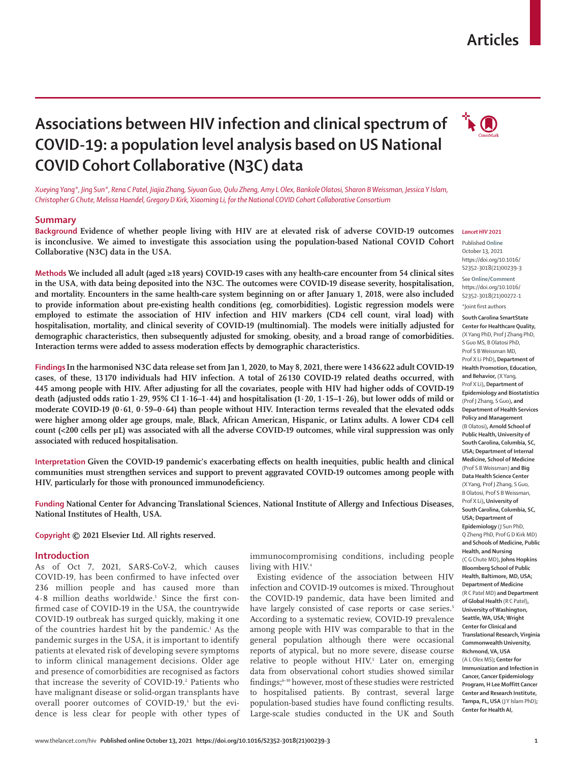# **Articles**

# **Associations between HIV infection and clinical spectrum of**  $\overrightarrow{A}$ **COVID-19: a population level analysis based on US National COVID Cohort Collaborative (N3C) data**



*Xueying Yang\*, Jing Sun\*, Rena C Patel, Jiajia Zhang, Siyuan Guo, Qulu Zheng, Amy L Olex, Bankole Olatosi, Sharon B Weissman, Jessica Y Islam, Christopher G Chute, Melissa Haendel, Gregory D Kirk, Xiaoming Li, for the National COVID Cohort Collaborative Consortium*

### **Summary**

**Background Evidence of whether people living with HIV are at elevated risk of adverse COVID-19 outcomes is inconclusive. We aimed to investigate this association using the population-based National COVID Cohort Collaborative (N3C) data in the USA.**

**Methods We included all adult (aged ≥18 years) COVID-19 cases with any health-care encounter from 54 clinical sites in the USA, with data being deposited into the N3C. The outcomes were COVID-19 disease severity, hospitalisation, and mortality. Encounters in the same health-care system beginning on or after January 1, 2018, were also included to provide information about pre-existing health conditions (eg, comorbidities). Logistic regression models were employed to estimate the association of HIV infection and HIV markers (CD4 cell count, viral load) with hospitalisation, mortality, and clinical severity of COVID-19 (multinomial). The models were initially adjusted for demographic characteristics, then subsequently adjusted for smoking, obesity, and a broad range of comorbidities. Interaction terms were added to assess moderation effects by demographic characteristics.**

**Findings In the harmonised N3C data release set from Jan 1, 2020, to May 8, 2021, there were 1436622 adult COVID-19 cases, of these, 13170 individuals had HIV infection. A total of 26130 COVID-19 related deaths occurred, with 445 among people with HIV. After adjusting for all the covariates, people with HIV had higher odds of COVID-19 death (adjusted odds ratio 1∙29, 95% CI 1∙16–1∙44) and hospitalisation (1∙20, 1∙15–1∙26), but lower odds of mild or moderate COVID-19 (0∙61, 0∙59–0∙64) than people without HIV. Interaction terms revealed that the elevated odds were higher among older age groups, male, Black, African American, Hispanic, or Latinx adults. A lower CD4 cell count (<200 cells per µL) was associated with all the adverse COVID-19 outcomes, while viral suppression was only associated with reduced hospitalisation.**

**Interpretation Given the COVID-19 pandemic's exacerbating effects on health inequities, public health and clinical communities must strengthen services and support to prevent aggravated COVID-19 outcomes among people with HIV, particularly for those with pronounced immunodeficiency.**

**Funding National Center for Advancing Translational Sciences, National Institute of Allergy and Infectious Diseases, National Institutes of Health, USA.**

**Copyright © 2021 Elsevier Ltd. All rights reserved.**

# **Introduction**

As of Oct 7, 2021, SARS-CoV-2, which causes COVID-19, has been confirmed to have infected over 236 million people and has caused more than 4∙8 million deaths worldwide.1 Since the first confirmed case of COVID-19 in the USA, the countrywide COVID-19 outbreak has surged quickly, making it one of the countries hardest hit by the pandemic.<sup>1</sup> As the pandemic surges in the USA, it is important to identify patients at elevated risk of developing severe symptoms to inform clinical management decisions. Older age and presence of comorbidities are recognised as factors that increase the severity of COVID-19.<sup>2</sup> Patients who have malignant disease or solid-organ transplants have overall poorer outcomes of COVID-19,<sup>3</sup> but the evidence is less clear for people with other types of

immunocompromising conditions, including people living with HIV.<sup>4</sup>

Existing evidence of the association between HIV infection and COVID-19 outcomes is mixed. Throughout the COVID-19 pandemic, data have been limited and have largely consisted of case reports or case series.<sup>5</sup> According to a systematic review, COVID-19 prevalence among people with HIV was comparable to that in the general population although there were occasional reports of atypical, but no more severe, disease course relative to people without HIV.<sup>5</sup> Later on, emerging data from observational cohort studies showed similar findings;<sup>6-10</sup> however, most of these studies were restricted to hospitalised patients. By contrast, several large population-based studies have found conflicting results. Large-scale studies conducted in the UK and South

#### *Lancet HIV* **2021**

Published **Online** October 13, 2021 https://doi.org/10.1016/ S2352-3018(21)00239-3

See **Online/Comment** https://doi.org/10.1016/ S2352-3018(21)00272-1

\*Joint first authors

**South Carolina SmartState Center for Healthcare Quality,**  (X Yang PhD, Prof J Zhang PhD, S Guo MS, B Olatosi PhD, Prof S B Weissman MD, Prof X Li PhD)**, Department of Health Promotion, Education, and Behavior,** (X Yang, Prof X Li)**, Department of Epidemiology and Biostatistics**  (Prof J Zhang, S Guo)**, and Department of Health Services Policy and Management**  (B Olatosi)**, Arnold School of Public Health, University of South Carolina, Columbia, SC, USA; Department of Internal Medicine, School of Medicine** (Prof S B Weissman) **and Big Data Health Science Center**  (X Yang, Prof J Zhang, S Guo, B Olatosi, Prof S B Weissman, Prof X Li)**, University of South Carolina, Columbia, SC, USA; Department of Epidemiology** (J Sun PhD, Q Zheng PhD, Prof G D Kirk MD) **and Schools of Medicine, Public Health, and Nursing**  (C G Chute MD)**, Johns Hopkins Bloomberg School of Public Health, Baltimore, MD, USA; Department of Medicine** (R C Patel MD) **and Department of Global Health** (R C Patel)**, University of Washington, Seattle, WA, USA; Wright Center for Clinical and Translational Research, Virginia Commonwealth University, Richmond, VA, USA** (A L Olex MS)**; Center for Immunization and Infection in Cancer, Cancer Epidemiology Program, H Lee Moffitt Cancer Center and Research Institute, Tampa, FL, USA** (J Y Islam PhD)**; Center for Health AI,**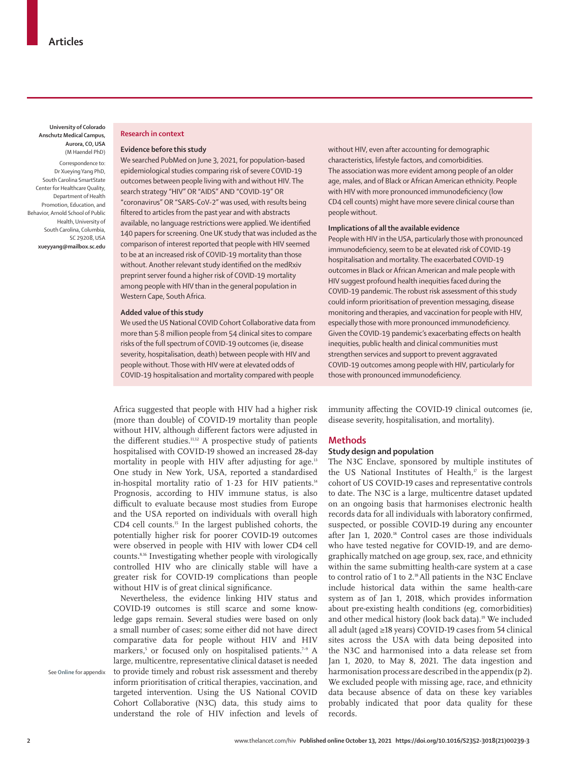**University of Colorado Anschutz Medical Campus, Aurora, CO, USA**  (M Haendel PhD)

Correspondence to: Dr Xueying Yang PhD, South Carolina SmartState Center for Healthcare Quality, Department of Health Promotion, Education, and Behavior, Arnold School of Public Health, University of South Carolina, Columbia, SC 29208, USA **xueyyang@mailbox.sc.edu**

#### **Research in context**

#### **Evidence before this study**

We searched PubMed on June 3, 2021, for population-based epidemiological studies comparing risk of severe COVID-19 outcomes between people living with and without HIV. The search strategy "HIV" OR "AIDS" AND "COVID-19" OR "coronavirus" OR "SARS-CoV-2" was used, with results being filtered to articles from the past year and with abstracts available, no language restrictions were applied. We identified 140 papers for screening. One UK study that was included as the comparison of interest reported that people with HIV seemed to be at an increased risk of COVID-19 mortality than those without. Another relevant study identified on the medRxiv preprint server found a higher risk of COVID-19 mortality among people with HIV than in the general population in Western Cape, South Africa.

#### **Added value of this study**

We used the US National COVID Cohort Collaborative data from more than 5∙8 million people from 54 clinical sites to compare risks of the full spectrum of COVID-19 outcomes (ie, disease severity, hospitalisation, death) between people with HIV and people without. Those with HIV were at elevated odds of COVID-19 hospitalisation and mortality compared with people

without HIV, even after accounting for demographic characteristics, lifestyle factors, and comorbidities. The association was more evident among people of an older age, males, and of Black or African American ethnicity. People with HIV with more pronounced immunodeficiency (low CD4 cell counts) might have more severe clinical course than people without.

#### **Implications of all the available evidence**

People with HIV in the USA, particularly those with pronounced immunodeficiency, seem to be at elevated risk of COVID-19 hospitalisation and mortality. The exacerbated COVID-19 outcomes in Black or African American and male people with HIV suggest profound health inequities faced during the COVID-19 pandemic. The robust risk assessment of this study could inform prioritisation of prevention messaging, disease monitoring and therapies, and vaccination for people with HIV, especially those with more pronounced immunodeficiency. Given the COVID-19 pandemic's exacerbating effects on health inequities, public health and clinical communities must strengthen services and support to prevent aggravated COVID-19 outcomes among people with HIV, particularly for those with pronounced immunodeficiency.

Africa suggested that people with HIV had a higher risk (more than double) of COVID-19 mortality than people without HIV, although different factors were adjusted in the different studies.<sup>11,12</sup> A prospective study of patients hospitalised with COVID-19 showed an increased 28-day mortality in people with HIV after adjusting for age.<sup>13</sup> One study in New York, USA, reported a standardised in-hospital mortality ratio of 1∙23 for HIV patients.14 Prognosis, according to HIV immune status, is also difficult to evaluate because most studies from Europe and the USA reported on individuals with overall high CD4 cell counts.15 In the largest published cohorts, the potentially higher risk for poorer COVID-19 outcomes were observed in people with HIV with lower CD4 cell counts.8,16 Investigating whether people with virologically controlled HIV who are clinically stable will have a greater risk for COVID-19 complications than people without HIV is of great clinical significance.

Nevertheless, the evidence linking HIV status and COVID-19 outcomes is still scarce and some knowledge gaps remain. Several studies were based on only a small number of cases; some either did not have direct comparative data for people without HIV and HIV markers,<sup>5</sup> or focused only on hospitalised patients.<sup>7-9</sup> A large, multicentre, representative clinical dataset is needed to provide timely and robust risk assessment and thereby inform prioritisation of critical therapies, vaccination, and targeted intervention. Using the US National COVID Cohort Collaborative (N3C) data, this study aims to understand the role of HIV infection and levels of

immunity affecting the COVID-19 clinical outcomes (ie, disease severity, hospitalisation, and mortality).

#### **Methods**

## **Study design and population**

The N3C Enclave, sponsored by multiple institutes of the US National Institutes of Health, $\theta$  is the largest cohort of US COVID-19 cases and representative controls to date. The N3C is a large, multicentre dataset updated on an ongoing basis that harmonises electronic health records data for all individuals with laboratory confirmed, suspected, or possible COVID-19 during any encounter after Jan 1, 2020.<sup>18</sup> Control cases are those individuals who have tested negative for COVID-19, and are demographically matched on age group, sex, race, and ethnicity within the same submitting health-care system at a case to control ratio of 1 to 2.<sup>18</sup> All patients in the N3C Enclave include historical data within the same health-care system as of Jan 1, 2018, which provides information about pre-existing health conditions (eg, comorbidities) and other medical history (look back data).<sup>19</sup> We included all adult (aged ≥18 years) COVID-19 cases from 54 clinical sites across the USA with data being deposited into the N3C and harmonised into a data release set from Jan 1, 2020, to May 8, 2021. The data ingestion and harmonisation process are described in the appendix (p 2). We excluded people with missing age, race, and ethnicity data because absence of data on these key variables probably indicated that poor data quality for these records.

See **Online** for appendix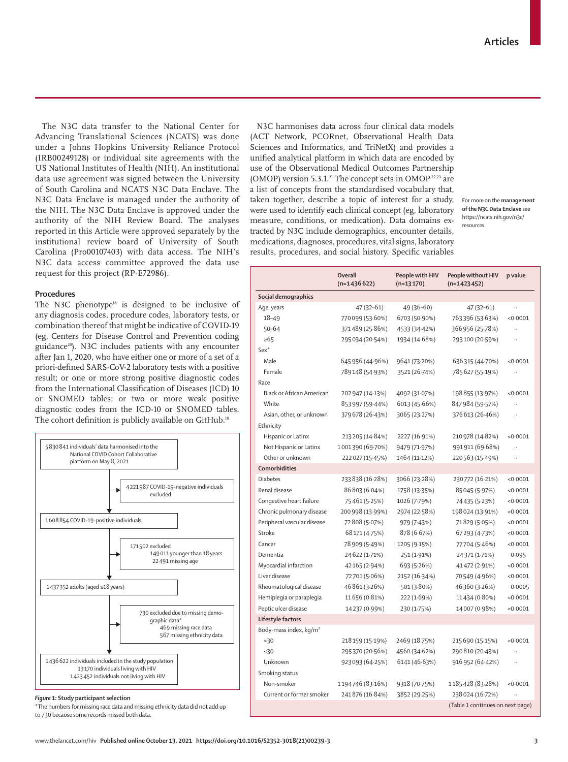The N3C data transfer to the National Center for Advancing Translational Sciences (NCATS) was done under a Johns Hopkins University Reliance Protocol (IRB00249128) or individual site agreements with the US National Institutes of Health (NIH). An institutional data use agreement was signed between the University of South Carolina and NCATS N3C Data Enclave. The N3C Data Enclave is managed under the authority of the NIH. The N3C Data Enclave is approved under the authority of the NIH Review Board. The analyses reported in this Article were approved separately by the institutional review board of University of South Carolina (Pro00107403) with data access. The NIH's N3C data access committee approved the data use request for this project (RP-E72986).

# **Procedures**

The N3C phenotype<sup>18</sup> is designed to be inclusive of any diagnosis codes, procedure codes, laboratory tests, or combination thereof that might be indicative of COVID-19 (eg, Centers for Disease Control and Prevention coding guidance<sup>20</sup>). N3C includes patients with any encounter after Jan 1, 2020, who have either one or more of a set of a priori-defined SARS-CoV-2 laboratory tests with a positive result; or one or more strong positive diagnostic codes from the International Classification of Diseases (ICD) 10 or SNOMED tables; or two or more weak positive diagnostic codes from the ICD-10 or SNOMED tables. The cohort definition is publicly available on GitHub.<sup>18</sup>



*Figure 1:* **Study participant selection**

\*The numbers for missing race data and missing ethnicity data did not add up to 730 because some records missed both data.

N3C harmonises data across four clinical data models (ACT Network, PCORnet, Observational Health Data Sciences and Informatics, and TriNetX) and provides a unified analytical platform in which data are encoded by use of the Observational Medical Outcomes Partnership (OMOP) version 5.3.1.<sup>21</sup> The concept sets in OMOP  $^{22,23}$  are a list of concepts from the standardised vocabulary that, taken together, describe a topic of interest for a study, were used to identify each clinical concept (eg, laboratory measure, conditions, or medication). Data domains extracted by N3C include demographics, encounter details, medications, diagnoses, procedures, vital signs, laboratory results, procedures, and social history. Specific variables

For more on the **management of the N3C Data Enclave** see https://ncats.nih.gov/n3c/ resources

|                                    | <b>Overall</b><br>$(n=1436622)$ | People with HIV<br>$(n=13170)$ | People without HIV<br>$(n=1423452)$ | p value              |
|------------------------------------|---------------------------------|--------------------------------|-------------------------------------|----------------------|
| Social demographics                |                                 |                                |                                     |                      |
| Age, years                         | 47 (32–61)                      | 49 (36-60)                     | 47 (32-61)                          |                      |
| $18 - 49$                          | 770099 (53.60%)                 | 6703 (50.90%)                  | 763396 (53.63%)                     | < 0.0001             |
| $50 - 64$                          | 371489 (25.86%)                 | 4533 (34-42%)                  | 366 956 (25.78%)                    | $\ddot{\phantom{a}}$ |
| $\ge 65$                           | 295 034 (20-54%)                | 1934 (14.68%)                  | 293100 (20-59%)                     |                      |
| $Sex*$                             |                                 |                                |                                     |                      |
| Male                               | 645 956 (44.96%)                | 9641 (73.20%)                  | 636315 (44.70%)                     | < 0.0001             |
| Female                             | 789148 (54.93%)                 | 3521 (26.74%)                  | 785627 (55-19%)                     |                      |
| Race                               |                                 |                                |                                     |                      |
| Black or African American          | 202 947 (14-13%)                | 4092 (31.07%)                  | 198855 (13.97%)                     | < 0.0001             |
| White                              | 853 997 (59-44%)                | 6013 (45.66%)                  | 847984 (59.57%)                     |                      |
| Asian, other, or unknown           | 379 678 (26-43%)                | 3065 (23.27%)                  | 376 613 (26.46%)                    |                      |
| Ethnicity                          |                                 |                                |                                     |                      |
| Hispanic or Latinx                 | 213 205 (14.84%)                | 2227 (16.91%)                  | 210 978 (14.82%)                    | < 0.0001             |
| Not Hispanic or Latinx             | 1001390 (69.70%)                | 9479 (71.97%)                  | 991911 (69.68%)                     | $\ddot{\phantom{a}}$ |
| Other or unknown                   | 222 027 (15-45%)                | 1464 (11.12%)                  | 220563 (15-49%)                     |                      |
| <b>Comorbidities</b>               |                                 |                                |                                     |                      |
| <b>Diabetes</b>                    | 233 838 (16.28%)                | 3066 (23.28%)                  | 230772 (16.21%)                     | < 0.0001             |
| Renal disease                      | 86803 (6.04%)                   | 1758 (13.35%)                  | 85045 (5.97%)                       | < 0.0001             |
| Congestive heart failure           | 75461 (5.25%)                   | 1026 (7.79%)                   | 74 435 (5-23%)                      | < 0.0001             |
| Chronic pulmonary disease          | 200 998 (13.99%)                | 2974 (22.58%)                  | 198024 (13.91%)                     | < 0.0001             |
| Peripheral vascular disease        | 72808 (5.07%)                   | 979 (7.43%)                    | 71829 (5.05%)                       | < 0.0001             |
| Stroke                             | 68 171 (4.75%)                  | 878 (6.67%)                    | 67293 (4.73%)                       | < 0.0001             |
| Cancer                             | 78 909 (5-49%)                  | 1205 (9.15%)                   | 77704 (5.46%)                       | < 0.0001             |
| Dementia                           | 24 622 (1.71%)                  | 251 (1.91%)                    | 24371 (1.71%)                       | 0.095                |
| Myocardial infarction              | 42165 (2.94%)                   | 693 (5.26%)                    | 41472 (2.91%)                       | < 0.0001             |
| Liver disease                      | 72701 (5.06%)                   | 2152 (16.34%)                  | 70549 (4.96%)                       | < 0.0001             |
| Rheumatological disease            | 46861 (3.26%)                   | 501 (3.80%)                    | 46360 (3.26%)                       | 0.0005               |
| Hemiplegia or paraplegia           | 11656 (0.81%)                   | 222 (1.69%)                    | 11434 (0.80%)                       | < 0.0001             |
| Peptic ulcer disease               | 14237 (0.99%)                   | 230 (1.75%)                    | 14007 (0.98%)                       | < 0.0001             |
| Lifestyle factors                  |                                 |                                |                                     |                      |
| Body-mass index, kg/m <sup>2</sup> |                                 |                                |                                     |                      |
| >30                                | 218 159 (15-19%)                | 2469 (18.75%)                  | 215690 (15.15%)                     | < 0.0001             |
| $\leq 30$                          | 295370 (20.56%)                 | 4560 (34.62%)                  | 290 810 (20-43%)                    |                      |
| Unknown                            | 923093 (64-25%)                 | 6141 (46.63%)                  | 916952 (64-42%)                     | $\ddot{\phantom{a}}$ |
| Smoking status                     |                                 |                                |                                     |                      |
| Non-smoker                         | 1194746 (83.16%)                | 9318 (70.75%)                  | 1185428 (83.28%)                    | < 0.0001             |
| Current or former smoker           | 241876 (16.84%)                 | 3852 (29.25%)                  | 238024 (16.72%)                     |                      |
|                                    |                                 |                                | (Table 1 continues on next page)    |                      |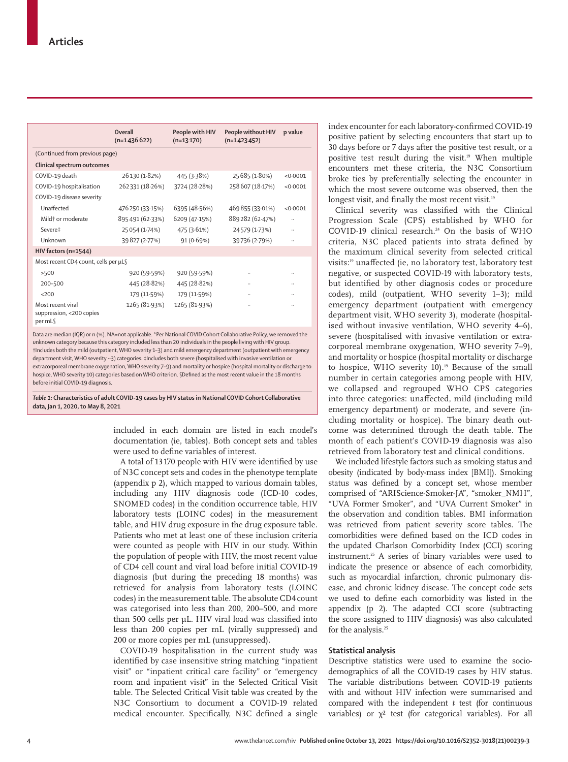|                                                                                                                                                                                                                                                                                                                                                                                                                                                                                                                                                                                                                                                                                                                                                           | Overall<br>$(n=1436622)$ | People with HIV<br>$(n=13170)$ | People without HIV<br>$(n=1423452)$ | p value  |  |
|-----------------------------------------------------------------------------------------------------------------------------------------------------------------------------------------------------------------------------------------------------------------------------------------------------------------------------------------------------------------------------------------------------------------------------------------------------------------------------------------------------------------------------------------------------------------------------------------------------------------------------------------------------------------------------------------------------------------------------------------------------------|--------------------------|--------------------------------|-------------------------------------|----------|--|
| (Continued from previous page)                                                                                                                                                                                                                                                                                                                                                                                                                                                                                                                                                                                                                                                                                                                            |                          |                                |                                     |          |  |
| Clinical spectrum outcomes                                                                                                                                                                                                                                                                                                                                                                                                                                                                                                                                                                                                                                                                                                                                |                          |                                |                                     |          |  |
| COVID-19 death                                                                                                                                                                                                                                                                                                                                                                                                                                                                                                                                                                                                                                                                                                                                            | 26130 (1.82%)            | 445 (3.38%)                    | 25 685 (1.80%)                      | < 0.0001 |  |
| COVID-19 hospitalisation                                                                                                                                                                                                                                                                                                                                                                                                                                                                                                                                                                                                                                                                                                                                  | 262331 (18.26%)          | 3724 (28.28%)                  | 258 607 (18.17%)                    | < 0.0001 |  |
| COVID-19 disease severity                                                                                                                                                                                                                                                                                                                                                                                                                                                                                                                                                                                                                                                                                                                                 |                          |                                |                                     |          |  |
| Unaffected                                                                                                                                                                                                                                                                                                                                                                                                                                                                                                                                                                                                                                                                                                                                                | 476 250 (33.15%)         | 6395 (48.56%)                  | 469 855 (33.01%)                    | < 0.0001 |  |
| Mild† or moderate                                                                                                                                                                                                                                                                                                                                                                                                                                                                                                                                                                                                                                                                                                                                         | 895491 (62.33%)          | 6209 (47.15%)                  | 889 282 (62-47%)                    |          |  |
| Severe‡                                                                                                                                                                                                                                                                                                                                                                                                                                                                                                                                                                                                                                                                                                                                                   | 25054 (1.74%)            | 475 (3.61%)                    | 24579 (1.73%)                       |          |  |
| Unknown                                                                                                                                                                                                                                                                                                                                                                                                                                                                                                                                                                                                                                                                                                                                                   | 39827 (2.77%)            | 91 (0.69%)                     | 39736 (2.79%)                       |          |  |
| HIV factors (n=1544)                                                                                                                                                                                                                                                                                                                                                                                                                                                                                                                                                                                                                                                                                                                                      |                          |                                |                                     |          |  |
| Most recent CD4 count, cells per µL§                                                                                                                                                                                                                                                                                                                                                                                                                                                                                                                                                                                                                                                                                                                      |                          |                                |                                     |          |  |
| >500                                                                                                                                                                                                                                                                                                                                                                                                                                                                                                                                                                                                                                                                                                                                                      | 920 (59.59%)             | 920 (59.59%)                   |                                     |          |  |
| 200-500                                                                                                                                                                                                                                                                                                                                                                                                                                                                                                                                                                                                                                                                                                                                                   | 445 (28.82%)             | 445 (28.82%)                   |                                     |          |  |
| 200                                                                                                                                                                                                                                                                                                                                                                                                                                                                                                                                                                                                                                                                                                                                                       | 179 (11.59%)             | 179 (11.59%)                   |                                     |          |  |
| Most recent viral<br>suppression, <200 copies<br>per mL                                                                                                                                                                                                                                                                                                                                                                                                                                                                                                                                                                                                                                                                                                   | 1265 (81.93%)            | 1265 (81.93%)                  |                                     |          |  |
| Data are median (IQR) or n (%). NA=not applicable. *Per National COVID Cohort Collaborative Policy, we removed the<br>unknown category because this category included less than 20 individuals in the people living with HIV group.<br>†Includes both the mild (outpatient, WHO severity 1-3) and mild emergency department (outpatient with emergency<br>department visit, WHO severity ~3) categories. #Includes both severe (hospitalised with invasive ventilation or<br>extracorporeal membrane oxygenation, WHO severity 7-9) and mortality or hospice (hospital mortality or discharge to<br>hospice, WHO severity 10) categories based on WHO criterion. §Defined as the most recent value in the 18 months<br>before initial COVID-19 diagnosis. |                          |                                |                                     |          |  |

*Table 1:* **Characteristics of adult COVID-19 cases by HIV status in National COVID Cohort Collaborative data, Jan 1, 2020, to May 8, 2021**

> included in each domain are listed in each model's documentation (ie, tables). Both concept sets and tables were used to define variables of interest.

A total of 13170 people with HIV were identified by use of N3C concept sets and codes in the phenotype template (appendix p 2), which mapped to various domain tables, including any HIV diagnosis code (ICD-10 codes, SNOMED codes) in the condition occurrence table, HIV laboratory tests (LOINC codes) in the measurement table, and HIV drug exposure in the drug exposure table. Patients who met at least one of these inclusion criteria were counted as people with HIV in our study. Within the population of people with HIV, the most recent value of CD4 cell count and viral load before initial COVID-19 diagnosis (but during the preceding 18 months) was retrieved for analysis from laboratory tests (LOINC codes) in the measurement table. The absolute CD4 count was categorised into less than 200, 200–500, and more than 500 cells per µL. HIV viral load was classified into less than 200 copies per mL (virally suppressed) and 200 or more copies per mL (unsuppressed).

COVID-19 hospitalisation in the current study was identified by case insensitive string matching "inpatient visit" or "inpatient critical care facility" or "emergency room and inpatient visit" in the Selected Critical Visit table. The Selected Critical Visit table was created by the N3C Consortium to document a COVID-19 related medical encounter. Specifically, N3C defined a single index encounter for each laboratory-confirmed COVID-19 positive patient by selecting encounters that start up to 30 days before or 7 days after the positive test result, or a positive test result during the visit.<sup>19</sup> When multiple encounters met these criteria, the N3C Consortium broke ties by preferentially selecting the encounter in which the most severe outcome was observed, then the longest visit, and finally the most recent visit.<sup>19</sup>

Clinical severity was classified with the Clinical Progression Scale (CPS) established by WHO for COVID-19 clinical research.<sup>24</sup> On the basis of WHO criteria, N3C placed patients into strata defined by the maximum clinical severity from selected critical visits:19 unaffected (ie, no laboratory test, laboratory test negative, or suspected COVID-19 with laboratory tests, but identified by other diagnosis codes or procedure codes), mild (outpatient, WHO severity 1–3); mild emergency department (outpatient with emergency department visit, WHO severity 3), moderate (hospitalised without invasive ventilation, WHO severity 4–6), severe (hospitalised with invasive ventilation or extracorporeal membrane oxygenation, WHO severity 7–9), and mortality or hospice (hospital mortality or discharge to hospice, WHO severity  $10$ ).<sup>19</sup> Because of the small number in certain categories among people with HIV, we collapsed and regrouped WHO CPS categories into three categories: unaffected, mild (including mild emergency department) or moderate, and severe (including mortality or hospice). The binary death outcome was determined through the death table. The month of each patient's COVID-19 diagnosis was also retrieved from laboratory test and clinical conditions.

We included lifestyle factors such as smoking status and obesity (indicated by body-mass index [BMI]). Smoking status was defined by a concept set, whose member comprised of "ARIScience-Smoker-JA", "smoker\_NMH", "UVA Former Smoker", and "UVA Current Smoker" in the observation and condition tables. BMI information was retrieved from patient severity score tables. The comorbidities were defined based on the ICD codes in the updated Charlson Comorbidity Index (CCI) scoring instrument.25 A series of binary variables were used to indicate the presence or absence of each comorbidity, such as myocardial infarction, chronic pulmonary disease, and chronic kidney disease. The concept code sets we used to define each comorbidity was listed in the appendix (p 2). The adapted CCI score (subtracting the score assigned to HIV diagnosis) was also calculated for the analysis.<sup>25</sup>

#### **Statistical analysis**

Descriptive statistics were used to examine the sociodemographics of all the COVID-19 cases by HIV status. The variable distributions between COVID-19 patients with and without HIV infection were summarised and compared with the independent *t* test (for continuous variables) or  $\chi^2$  test (for categorical variables). For all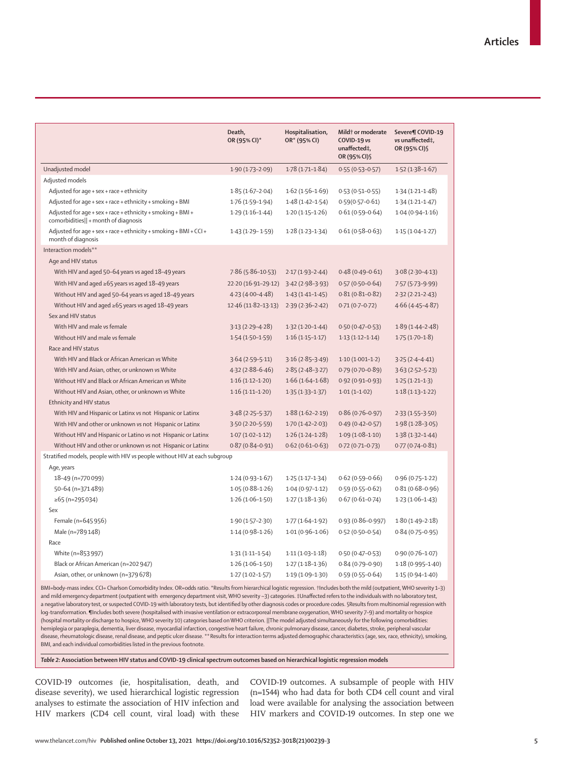|                                                                                                     | Death.<br>OR (95% CI)* | Hospitalisation,<br>OR* (95% CI) | Mild <sup>†</sup> or moderate<br>COVID-19 vs<br>unaffected‡,<br>OR (95% CI) § | Severe¶ COVID-19<br>vs unaffected‡,<br>OR (95% CI) § |
|-----------------------------------------------------------------------------------------------------|------------------------|----------------------------------|-------------------------------------------------------------------------------|------------------------------------------------------|
| Unadjusted model                                                                                    | $1.90(1.73 - 2.09)$    | $1.78(1.71 - 1.84)$              | $0.55(0.53 - 0.57)$                                                           | $1.52(1.38 - 1.67)$                                  |
| Adjusted models                                                                                     |                        |                                  |                                                                               |                                                      |
| Adjusted for age + sex + race + ethnicity                                                           | $1.85(1.67-2.04)$      | $1.62(1.56 - 1.69)$              | $0.53(0.51 - 0.55)$                                                           | $1.34(1.21 - 1.48)$                                  |
| Adjusted for $aqe + sex + race + ethnicity + smoking + BMI$                                         | $1.76(1.59-1.94)$      | $1.48(1.42 - 1.54)$              | $0.59(0.57 - 0.61)$                                                           | $1.34(1.21 - 1.47)$                                  |
| Adjusted for age + sex + race + ethnicity + smoking + BMI +<br>comorbidities   + month of diagnosis | $1.29(1.16-1.44)$      | $1.20(1.15 - 1.26)$              | $0.61(0.59 - 0.64)$                                                           | $1.04(0.94-1.16)$                                    |
| Adjusted for age + sex + race + ethnicity + smoking + BMI + CCI +<br>month of diagnosis             | $1.43(1.29 - 1.59)$    | $1.28(1.23 - 1.34)$              | $0.61(0.58 - 0.63)$                                                           | $1.15(1.04-1.27)$                                    |
| Interaction models**                                                                                |                        |                                  |                                                                               |                                                      |
| Age and HIV status                                                                                  |                        |                                  |                                                                               |                                                      |
| With HIV and aged 50-64 years vs aged 18-49 years                                                   | $7.86(5.86 - 10.53)$   | $2.17(1.93 - 2.44)$              | $0.48(0.49 - 0.61)$                                                           | $3.08(2.30-4.13)$                                    |
| With HIV and aged $\ge 65$ years vs aged 18-49 years                                                | 22.20 (16.91-29.12)    | $3.42(2.98-3.93)$                | $0.57(0.50-0.64)$                                                             | $7.57(5.73 - 9.99)$                                  |
| Without HIV and aged 50-64 years vs aged 18-49 years                                                | $4.23(4.00-4.48)$      | $1.43(1.41 - 1.45)$              | $0.81(0.81 - 0.82)$                                                           | $2.32(2.21 - 2.43)$                                  |
| Without HIV and aged ≥65 years vs aged 18-49 years                                                  | $12.46(11.82 - 13.13)$ | $2.39(2.36-2.42)$                | $0.71(0.7-0.72)$                                                              | $4.66(4.45 - 4.87)$                                  |
| Sex and HIV status                                                                                  |                        |                                  |                                                                               |                                                      |
| With HIV and male vs female                                                                         | $3.13(2.29 - 4.28)$    | $1.32(1.20-1.44)$                | $0.50(0.47 - 0.53)$                                                           | $1.89(1.44 - 2.48)$                                  |
| Without HIV and male vs female                                                                      | $1.54(1.50-1.59)$      | $1.16(1.15 - 1.17)$              | $1.13(1.12 - 1.14)$                                                           | $1.75(1.70-1.8)$                                     |
| Race and HIV status                                                                                 |                        |                                  |                                                                               |                                                      |
| With HIV and Black or African American vs White                                                     | $3.64(2.59 - 5.11)$    | $3.16(2.85-3.49)$                | $1.10(1.001-1.2)$                                                             | $3.25(2.4 - 4.41)$                                   |
| With HIV and Asian, other, or unknown vs White                                                      | $4.32(2.88 - 6.46)$    | $2.85(2.48-3.27)$                | $0.79(0.70 - 0.89)$                                                           | $3.63(2.52 - 5.23)$                                  |
| Without HIV and Black or African American vs White                                                  | $1.16(1.12 - 1.20)$    | $1.66(1.64 - 1.68)$              | $0.92(0.91 - 0.93)$                                                           | $1.25(1.21-1.3)$                                     |
| Without HIV and Asian, other, or unknown vs White                                                   | $1.16(1.11-1.20)$      | $1.35(1.33 - 1.37)$              | $1.01(1-1.02)$                                                                | $1.18(1.13 - 1.22)$                                  |
| Ethnicity and HIV status                                                                            |                        |                                  |                                                                               |                                                      |
| With HIV and Hispanic or Latinx vs not Hispanic or Latinx                                           | $3.48(2.25 - 5.37)$    | $1.88(1.62 - 2.19)$              | $0.86(0.76 - 0.97)$                                                           | $2.33(1.55-3.50)$                                    |
| With HIV and other or unknown vs not Hispanic or Latinx                                             | $3.50(2.20 - 5.59)$    | $1.70(1.42 - 2.03)$              | $0.49(0.42 - 0.57)$                                                           | $1.98(1.28 - 3.05)$                                  |
| Without HIV and Hispanic or Latino vs not Hispanic or Latinx                                        | $1.07(1.02 - 1.12)$    | $1.26(1.24 - 1.28)$              | $1.09(1.08-1.10)$                                                             | $1.38(1.32 - 1.44)$                                  |
| Without HIV and other or unknown vs not Hispanic or Latinx                                          | $0.87(0.84 - 0.91)$    | $0.62(0.61 - 0.63)$              | $0.72(0.71 - 0.73)$                                                           | $0.77(0.74 - 0.81)$                                  |
| Stratified models, people with HIV vs people without HIV at each subgroup                           |                        |                                  |                                                                               |                                                      |
| Age, years                                                                                          |                        |                                  |                                                                               |                                                      |
| 18-49 (n=770099)                                                                                    | $1.24(0.93 - 1.67)$    | $1.25(1.17-1.34)$                | $0.62(0.59 - 0.66)$                                                           | $0.96(0.75 - 1.22)$                                  |
| 50-64 (n=371489)                                                                                    | $1.05(0.88 - 1.26)$    | $1.04(0.97 - 1.12)$              | $0.59(0.55 - 0.62)$                                                           | $0.81(0.68 - 0.96)$                                  |
| $\ge 65$ (n=295034)                                                                                 | $1.26(1.06-1.50)$      | $1.27(1.18-1.36)$                | $0.67(0.61 - 0.74)$                                                           | $1.23(1.06-1.43)$                                    |
| Sex                                                                                                 |                        |                                  |                                                                               |                                                      |
| Female (n=645956)                                                                                   | $1.90(1.57 - 2.30)$    | $1.77(1.64-1.92)$                | $0.93(0.86 - 0.997)$                                                          | $1.80(1.49-2.18)$                                    |
| Male (n=789 148)                                                                                    | $1.14(0.98-1.26)$      | $1.01(0.96 - 1.06)$              | $0.52(0.50-0.54)$                                                             | $0.84(0.75 - 0.95)$                                  |
| Race                                                                                                |                        |                                  |                                                                               |                                                      |
| White (n=853997)                                                                                    | $1.31(1.11 - 1.54)$    | $1.11(1.03 - 1.18)$              | $0.50(0.47 - 0.53)$                                                           | $0.90(0.76 - 1.07)$                                  |
| Black or African American (n=202947)                                                                | $1.26(1.06-1.50)$      | $1.27(1.18-1.36)$                | $0.84(0.79 - 0.90)$                                                           | $1.18(0.995 - 1.40)$                                 |
| Asian, other, or unknown (n=379 678)                                                                | $1.27(1.02 - 1.57)$    | $1.19(1.09 - 1.30)$              | $0.59(0.55 - 0.64)$                                                           | $1.15(0.94 - 1.40)$                                  |

BMI=body-mass index. CCI= Charlson Comorbidity Index. OR=odds ratio. \*Results from hierarchical logistic regression. †Includes both the mild (outpatient, WHO severity 1–3) and mild emergency department (outpatient with emergency department visit, WHO severity ~3) categories. ‡Unaffected refers to the individuals with no laboratory test, a negative laboratory test, or suspected COVID-19 with laboratory tests, but identified by other diagnosis codes or procedure codes. §Results from multinomial regression with log-transformation. Includes both severe (hospitalised with invasive ventilation or extracorporeal membrane oxygenation, WHO severity 7-9) and mortality or hospice (hospital mortality or discharge to hospice, WHO severity 10) categories based on WHO criterion. ||The model adjusted simultaneously for the following comorbidities: hemiplegia or paraplegia, dementia, liver disease, myocardial infarction, congestive heart failure, chronic pulmonary disease, cancer, diabetes, stroke, peripheral vascular disease, rheumatologic disease, renal disease, and peptic ulcer disease. \*\*Results for interaction terms adjusted demographic characteristics (age, sex, race, ethnicity), smoking, BMI, and each individual comorbidities listed in the previous footnote.

*Table 2:* **Association between HIV status and COVID-19 clinical spectrum outcomes based on hierarchical logistic regression models** 

COVID-19 outcomes (ie, hospitalisation, death, and disease severity), we used hierarchical logistic regression analyses to estimate the association of HIV infection and HIV markers (CD4 cell count, viral load) with these

COVID-19 outcomes. A subsample of people with HIV (n=1544) who had data for both CD4 cell count and viral load were available for analysing the association between HIV markers and COVID-19 outcomes. In step one we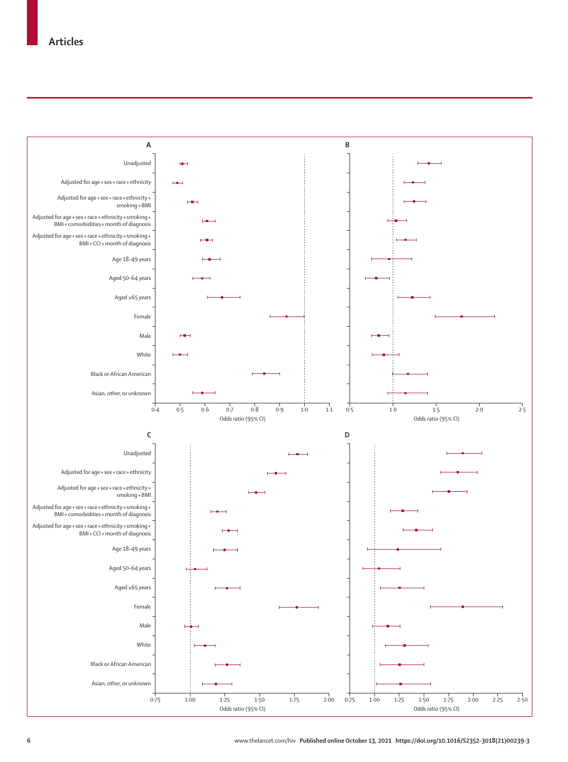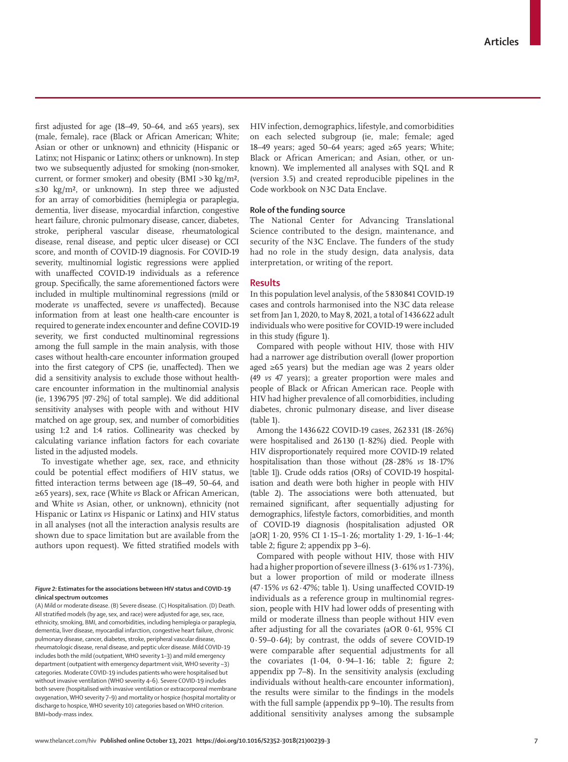first adjusted for age (18–49, 50–64, and  $\geq 65$  years), sex (male, female), race (Black or African American; White; Asian or other or unknown) and ethnicity (Hispanic or Latinx; not Hispanic or Latinx; others or unknown). In step two we subsequently adjusted for smoking (non-smoker, current, or former smoker) and obesity (BMI >30 kg/m², ≤30 kg/m², or unknown). In step three we adjusted for an array of comorbidities (hemiplegia or paraplegia, dementia, liver disease, myocardial infarction, congestive heart failure, chronic pulmonary disease, cancer, diabetes, stroke, peripheral vascular disease, rheumatological disease, renal disease, and peptic ulcer disease) or CCI score, and month of COVID-19 diagnosis. For COVID-19 severity, multinomial logistic regressions were applied with unaffected COVID-19 individuals as a reference group. Specifically, the same aforementioned factors were included in multiple multinominal regressions (mild or moderate *vs* unaffected, severe *vs* unaffected). Because information from at least one health-care encounter is required to generate index encounter and define COVID-19 severity, we first conducted multinominal regressions among the full sample in the main analysis, with those cases without health-care encounter information grouped into the first category of CPS (ie, unaffected). Then we did a sensitivity analysis to exclude those without healthcare encounter information in the multinomial analysis (ie, 1396795 [97∙2%] of total sample). We did additional sensitivity analyses with people with and without HIV matched on age group, sex, and number of comorbidities using 1:2 and 1:4 ratios. Collinearity was checked by calculating variance inflation factors for each covariate listed in the adjusted models.

To investigate whether age, sex, race, and ethnicity could be potential effect modifiers of HIV status, we fitted interaction terms between age (18–49, 50–64, and ≥65 years), sex, race (White *vs* Black or African American, and White *vs* Asian, other, or unknown), ethnicity (not Hispanic or Latinx *vs* Hispanic or Latinx) and HIV status in all analyses (not all the interaction analysis results are shown due to space limitation but are available from the authors upon request). We fitted stratified models with

#### *Figure 2:* **Estimates for the associations between HIV status and COVID-19 clinical spectrum outcomes**

(A) Mild or moderate disease. (B) Severe disease. (C) Hospitalisation. (D) Death. All stratified models (by age, sex, and race) were adjusted for age, sex, race, ethnicity, smoking, BMI, and comorbidities, including hemiplegia or paraplegia, dementia, liver disease, myocardial infarction, congestive heart failure, chronic pulmonary disease, cancer, diabetes, stroke, peripheral vascular disease, rheumatologic disease, renal disease, and peptic ulcer disease. Mild COVID-19 includes both the mild (outpatient, WHO severity 1–3) and mild emergency department (outpatient with emergency department visit, WHO severity ~3) categories. Moderate COVID-19 includes patients who were hospitalised but without invasive ventilation (WHO severity 4–6). Severe COVID-19 includes both severe (hospitalised with invasive ventilation or extracorporeal membrane oxygenation, WHO severity 7–9) and mortality or hospice (hospital mortality or discharge to hospice, WHO severity 10) categories based on WHO criterion. BMI=body-mass index.

HIV infection, demographics, lifestyle, and comorbidities on each selected subgroup (ie, male; female; aged 18–49 years; aged 50–64 years; aged ≥65 years; White; Black or African American; and Asian, other, or unknown). We implemented all analyses with SQL and R (version 3.5) and created reproducible pipelines in the Code workbook on N3C Data Enclave.

# **Role of the funding source**

The National Center for Advancing Translational Science contributed to the design, maintenance, and security of the N3C Enclave. The funders of the study had no role in the study design, data analysis, data interpretation, or writing of the report.

### **Results**

In this population level analysis, of the 5830841 COVID-19 cases and controls harmonised into the N3C data release set from Jan 1, 2020, to May 8, 2021, a total of 1436622 adult individuals who were positive for COVID-19 were included in this study (figure 1).

Compared with people without HIV, those with HIV had a narrower age distribution overall (lower proportion aged ≥65 years) but the median age was 2 years older (49 *vs* 47 years); a greater proportion were males and people of Black or African American race. People with HIV had higher prevalence of all comorbidities, including diabetes, chronic pulmonary disease, and liver disease (table 1).

Among the 1436622 COVID-19 cases, 262331 (18∙26%) were hospitalised and 26130 (1∙82%) died. People with HIV disproportionately required more COVID-19 related hospitalisation than those without (28∙28% *vs* 18∙17% [table 1]). Crude odds ratios (ORs) of COVID-19 hospitalisation and death were both higher in people with HIV (table 2). The associations were both attenuated, but remained significant, after sequentially adjusting for demographics, lifestyle factors, comorbidities, and month of COVID-19 diagnosis (hospitalisation adjusted OR [aOR] 1∙20, 95% CI 1∙15–1∙26; mortality 1∙29, 1∙16–1∙44; table 2; figure 2; appendix pp 3–6).

Compared with people without HIV, those with HIV had a higher proportion of severe illness (3∙61% *vs* 1∙73%), but a lower proportion of mild or moderate illness (47∙15% *vs* 62∙47%; table 1). Using unaffected COVID-19 individuals as a reference group in multinomial regression, people with HIV had lower odds of presenting with mild or moderate illness than people without HIV even after adjusting for all the covariates (aOR 0∙61, 95% CI 0∙59–0∙64); by contrast, the odds of severe COVID-19 were comparable after sequential adjustments for all the covariates (1∙04, 0∙94–1∙16; table 2; figure 2; appendix pp 7–8). In the sensitivity analysis (excluding individuals without health-care encounter information), the results were similar to the findings in the models with the full sample (appendix pp 9–10). The results from additional sensitivity analyses among the subsample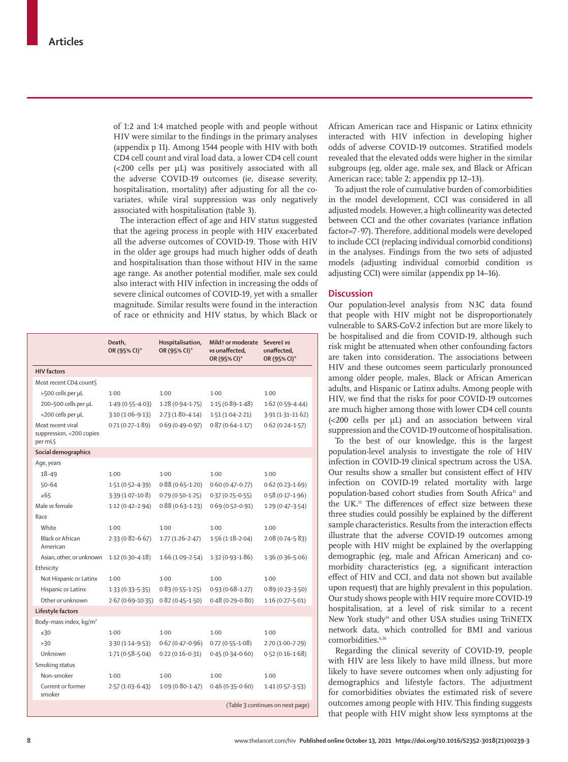of 1:2 and 1:4 matched people with and people without HIV were similar to the findings in the primary analyses (appendix p 11). Among 1544 people with HIV with both CD4 cell count and viral load data, a lower CD4 cell count (<200 cells per µL) was positively associated with all the adverse COVID-19 outcomes (ie, disease severity, hospitalisation, mortality) after adjusting for all the covariates, while viral suppression was only negatively associated with hospitalisation (table 3).

The interaction effect of age and HIV status suggested that the ageing process in people with HIV exacerbated all the adverse outcomes of COVID-19. Those with HIV in the older age groups had much higher odds of death and hospitalisation than those without HIV in the same age range. As another potential modifier, male sex could also interact with HIV infection in increasing the odds of severe clinical outcomes of COVID-19, yet with a smaller magnitude. Similar results were found in the interaction of race or ethnicity and HIV status, by which Black or

|                                                          | Death,<br>OR (95% CI)* | Hospitalisation,<br>OR (95% CI)* | Mildt or moderate Severe‡ vs<br>vs unaffected.<br>OR (95% CI)* | unaffected.<br>OR (95% CI)* |
|----------------------------------------------------------|------------------------|----------------------------------|----------------------------------------------------------------|-----------------------------|
| <b>HIV</b> factors                                       |                        |                                  |                                                                |                             |
| Most recent CD4 counts                                   |                        |                                  |                                                                |                             |
| >500 cells per µL                                        | $1-00$                 | $1-00$                           | $1-00$                                                         | $1-00$                      |
| 200-500 cells per µL                                     | $1.49(0.55 - 4.03)$    | $1.28(0.94 - 1.75)$              | $1.15(0.89 - 1.48)$                                            | $1.62(0.59 - 4.44)$         |
| <200 cells per µL                                        | $3.10(1.06-9.13)$      | $2.73(1.80 - 4.14)$              | $1.51(1.04 - 2.21)$                                            | $3.91(1.31 - 11.62)$        |
| Most recent viral<br>suppression, <200 copies<br>per mLS | $0.71(0.27 - 1.89)$    | $0.69(0.49 - 0.97)$              | $0.87(0.64 - 1.17)$                                            | $0.62(0.24 - 1.57)$         |
| Social demographics                                      |                        |                                  |                                                                |                             |
| Age, years                                               |                        |                                  |                                                                |                             |
| $18 - 49$                                                | $1-00$                 | 1.00                             | $1-00$                                                         | 1.00                        |
| $50 - 64$                                                | $1.51(0.52 - 4.39)$    | $0.88(0.65 - 1.20)$              | $0.60(0.47 - 0.77)$                                            | $0.62(0.23 - 1.69)$         |
| $\geq 65$                                                | $3.39(1.07 - 10.8)$    | $0.79(0.50 - 1.25)$              | $0.37(0.25 - 0.55)$                                            | $0.58(0.17 - 1.96)$         |
| Male vs female                                           | $1.12(0.42 - 2.94)$    | $0.88(0.63 - 1.23)$              | $0.69(0.52 - 0.91)$                                            | $1.29(0.47 - 3.54)$         |
| Race                                                     |                        |                                  |                                                                |                             |
| White                                                    | $1-00$                 | 1.00                             | $1-00$                                                         | 1.00                        |
| <b>Black or African</b><br>American                      | $2.33(0.82 - 6.67)$    | $1.77(1.26 - 2.47)$              | $1.56(1.18-2.04)$                                              | $2.08(0.74 - 5.83)$         |
| Asian, other, or unknown                                 | $1.12(0.30 - 4.18)$    | $1.66(1.09-2.54)$                | $1.32(0.93 - 1.86)$                                            | $1.36(0.36 - 5.06)$         |
| Ethnicity                                                |                        |                                  |                                                                |                             |
| Not Hispanic or Latinx                                   | $1-00$                 | 1.00                             | $1-00$                                                         | 1.00                        |
| Hispanic or Latinx                                       | $1.33(0.33 - 5.35)$    | $0.83(0.55 - 1.25)$              | $0.93(0.68 - 1.27)$                                            | $0.89(0.23 - 3.50)$         |
| Other or unknown                                         | $2.67(0.69 - 10.35)$   | $0.82(0.45 - 1.50)$              | $0.48(0.29 - 0.80)$                                            | $1.16(0.27 - 5.01)$         |
| Lifestyle factors                                        |                        |                                  |                                                                |                             |
| Body-mass index, kg/m <sup>2</sup>                       |                        |                                  |                                                                |                             |
| $\leq 30$                                                | $1-00$                 | 1.00                             | $1-00$                                                         | 1.00                        |
| >30                                                      | $3.30(1.14 - 9.53)$    | $0.67(0.47 - 0.96)$              | $0.77(0.55 - 1.08)$                                            | $2.70(1.00 - 7.29)$         |
| Unknown                                                  | $1.71(0.58 - 5.04)$    | $0.22(0.16 - 0.31)$              | $0.45(0.34 - 0.60)$                                            | $0.52(0.16 - 1.68)$         |
| Smoking status                                           |                        |                                  |                                                                |                             |
| Non-smoker                                               | $1-00$                 | 1.00                             | $1-00$                                                         | 1.00                        |
| Current or former<br>smoker                              | $2.57(1.03-6.43)$      | $1.09(0.80 - 1.47)$              | $0.46(0.35 - 0.60)$                                            | $1.41(0.57 - 3.53)$         |
|                                                          |                        | (Table 3 continues on next page) |                                                                |                             |

African American race and Hispanic or Latinx ethnicity interacted with HIV infection in developing higher odds of adverse COVID-19 outcomes. Stratified models revealed that the elevated odds were higher in the similar subgroups (eg, older age, male sex, and Black or African American race; table 2; appendix pp 12–13).

To adjust the role of cumulative burden of comorbidities in the model development, CCI was considered in all adjusted models. However, a high collinearity was detected between CCI and the other covariates (variance inflation factor=7∙97). Therefore, additional models were developed to include CCI (replacing individual comorbid conditions) in the analyses. Findings from the two sets of adjusted models (adjusting individual comorbid condition *vs*  adjusting CCI) were similar (appendix pp 14–16).

# **Discussion**

Our population-level analysis from N3C data found that people with HIV might not be disproportionately vulnerable to SARS-CoV-2 infection but are more likely to be hospitalised and die from COVID-19, although such risk might be attenuated when other confounding factors are taken into consideration. The associations between HIV and these outcomes seem particularly pronounced among older people, males, Black or African American adults, and Hispanic or Latinx adults. Among people with HIV, we find that the risks for poor COVID-19 outcomes are much higher among those with lower CD4 cell counts (<200 cells per µL) and an association between viral suppression and the COVID-19 outcome of hospitalisation.

To the best of our knowledge, this is the largest population-level analysis to investigate the role of HIV infection in COVID-19 clinical spectrum across the USA. Our results show a smaller but consistent effect of HIV infection on COVID-19 related mortality with large population-based cohort studies from South Africa<sup>11</sup> and the UK.12 The differences of effect size between these three studies could possibly be explained by the different sample characteristics. Results from the interaction effects illustrate that the adverse COVID-19 outcomes among people with HIV might be explained by the overlapping demographic (eg, male and African American) and comorbidity characteristics (eg, a significant interaction effect of HIV and CCI, and data not shown but available upon request) that are highly prevalent in this population. Our study shows people with HIV require more COVID-19 hospitalisation, at a level of risk similar to a recent New York study<sup>14</sup> and other USA studies using TriNETX network data, which controlled for BMI and various comorbidities.6,26

Regarding the clinical severity of COVID-19, people with HIV are less likely to have mild illness, but more likely to have severe outcomes when only adjusting for demographics and lifestyle factors. The adjustment for comorbidities obviates the estimated risk of severe outcomes among people with HIV. This finding suggests that people with HIV might show less symptoms at the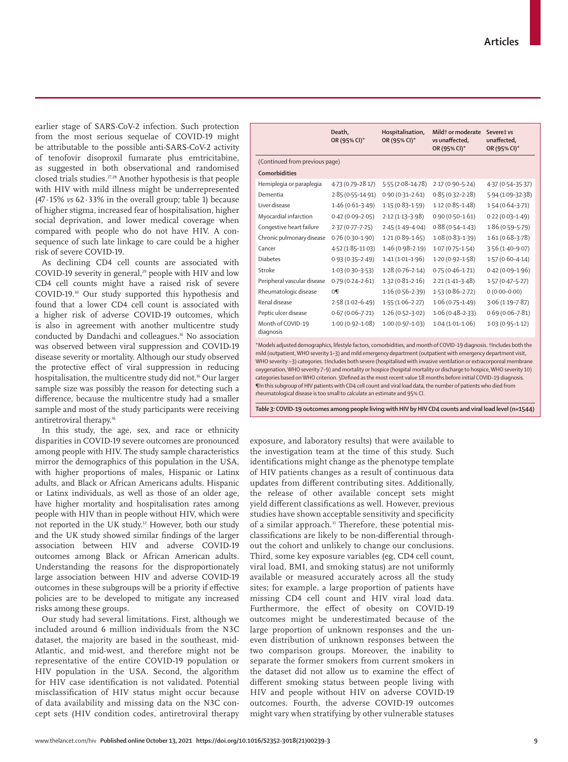earlier stage of SARS-CoV-2 infection. Such protection from the most serious sequelae of COVID-19 might be attributable to the possible anti-SARS-CoV-2 activity of tenofovir disoproxil fumarate plus emtricitabine, as suggested in both observational and randomised closed trials studies.27,28 Another hypothesis is that people with HIV with mild illness might be underrepresented (47∙15% *vs* 62∙33% in the overall group; table 1) because of higher stigma, increased fear of hospitalisation, higher social deprivation, and lower medical coverage when compared with people who do not have HIV. A consequence of such late linkage to care could be a higher risk of severe COVID-19.

As declining CD4 cell counts are associated with COVID-19 severity in general,<sup>29</sup> people with HIV and low CD4 cell counts might have a raised risk of severe COVID-19.30 Our study supported this hypothesis and found that a lower CD4 cell count is associated with a higher risk of adverse COVID-19 outcomes, which is also in agreement with another multicentre study conducted by Dandachi and colleagues.16 No association was observed between viral suppression and COVID-19 disease severity or mortality. Although our study observed the protective effect of viral suppression in reducing hospitalisation, the multicentre study did not.<sup>16</sup> Our larger sample size was possibly the reason for detecting such a difference, because the multicentre study had a smaller sample and most of the study participants were receiving antiretroviral therapy.16

In this study, the age, sex, and race or ethnicity disparities in COVID-19 severe outcomes are pronounced among people with HIV. The study sample characteristics mirror the demographics of this population in the USA, with higher proportions of males, Hispanic or Latinx adults, and Black or African Americans adults. Hispanic or Latinx individuals, as well as those of an older age, have higher mortality and hospitalisation rates among people with HIV than in people without HIV, which were not reported in the UK study.12 However, both our study and the UK study showed similar findings of the larger association between HIV and adverse COVID-19 outcomes among Black or African American adults. Understanding the reasons for the disproportionately large association between HIV and adverse COVID-19 outcomes in these subgroups will be a priority if effective policies are to be developed to mitigate any increased risks among these groups.

Our study had several limitations. First, although we included around 6 million individuals from the N3C dataset, the majority are based in the southeast, mid-Atlantic, and mid-west, and therefore might not be representative of the entire COVID-19 population or HIV population in the USA. Second, the algorithm for HIV case identification is not validated. Potential misclassification of HIV status might occur because of data availability and missing data on the N3C concept sets (HIV condition codes, antiretroviral therapy

|                                | Death.<br>OR (95% CI)* | Hospitalisation,<br>OR (95% CI)* | Mild <sup>t</sup> or moderate<br>vs unaffected,<br>OR (95% CI)* | Severe‡ vs<br>unaffected.<br>OR (95% CI)* |  |
|--------------------------------|------------------------|----------------------------------|-----------------------------------------------------------------|-------------------------------------------|--|
| (Continued from previous page) |                        |                                  |                                                                 |                                           |  |
| <b>Comorbidities</b>           |                        |                                  |                                                                 |                                           |  |
| Hemiplegia or paraplegia       | 4.73 (0.79-28.17)      | $5.55(2.08-14.78)$               | $2.17(0.90 - 5.24)$                                             | 4.37 (0.54-35.37)                         |  |
| Dementia                       | $2.85(0.55 - 14.91)$   | $0.90(0.31 - 2.61)$              | $0.85(0.32 - 2.28)$                                             | $5.94(1.09 - 32.38)$                      |  |
| Liver disease                  | $1.46(0.61-3.49)$      | $1.15(0.83 - 1.59)$              | $1.12(0.85 - 1.48)$                                             | $1.54(0.64-3.71)$                         |  |
| Myocardial infarction          | $0.42(0.09 - 2.05)$    | $2.12(1.13-3.98)$                | $0.90(0.50 - 1.61)$                                             | $0.22(0.03 - 1.49)$                       |  |
| Congestive heart failure       | $2.37(0.77 - 7.25)$    | $2.45(1.49 - 4.04)$              | $0.88(0.54 - 1.43)$                                             | $1.86(0.59 - 5.79)$                       |  |
| Chronic pulmonary disease      | $0.76(0.30-1.90)$      | $1.21(0.89 - 1.65)$              | $1.08(0.83 - 1.39)$                                             | $1.61(0.68 - 3.78)$                       |  |
| Cancer                         | $4.52(1.85 - 11.03)$   | $1.46(0.98-2.19)$                | $1.07(0.75 - 1.54)$                                             | $3.56(1.40 - 9.07)$                       |  |
| <b>Diabetes</b>                | $0.93(0.35 - 2.49)$    | $1.41(1.01-1.96)$                | $1.20(0.92 - 1.58)$                                             | $1.57(0.60 - 4.14)$                       |  |
| Stroke                         | $1.03(0.30-3.53)$      | $1.28(0.76 - 2.14)$              | $0.75(0.46 - 1.21)$                                             | $0.42(0.09-1.96)$                         |  |
| Peripheral vascular disease    | $0.79(0.24 - 2.61)$    | $1.32(0.81 - 2.16)$              | $2.21(1.41-3.48)$                                               | $1.57(0.47 - 5.27)$                       |  |
| Rheumatologic disease          | $0\P$                  | $1.16(0.56 - 2.39)$              | $1.53(0.86 - 2.72)$                                             | $0(0.00-0.00)$                            |  |
| Renal disease                  | $2.58(1.02 - 6.49)$    | $1.55(1.06-2.27)$                | $1.06(0.75 - 1.49)$                                             | $3.06(1.19 - 7.87)$                       |  |
| Peptic ulcer disease           | $0.67(0.06 - 7.21)$    | $1.26(0.52-3.02)$                | $1.06(0.48-2.33)$                                               | $0.69(0.06 - 7.81)$                       |  |
| Month of COVID-19<br>diagnosis | $1.00(0.92 - 1.08)$    | $1.00(0.97-1.03)$                | $1.04(1.01-1.06)$                                               | $1.03(0.95 - 1.12)$                       |  |

\*Models adjusted demographics, lifestyle factors, comorbidities, and month of COVID-19 diagnosis. †Includes both the mild (outpatient, WHO severity 1–3) and mild emergency department (outpatient with emergency department visit, WHO severity ~3) categories. ‡Includes both severe (hospitalised with invasive ventilation or extracorporeal membrane oxygenation, WHO severity 7–9) and mortality or hospice (hospital mortality or discharge to hospice, WHO severity 10) categories based on WHO criterion. §Defined as the most recent value 18 months before initial COVID-19 diagnosis. ¶In this subgroup of HIV patients with CD4 cell count and viral load data, the number of patients who died from rheumatological disease is too small to calculate an estimate and 95% CI.

*Table 3:* **COVID-19 outcomes among people living with HIV by HIV CD4 counts and viral load level (n=1544)**

exposure, and laboratory results) that were available to the investigation team at the time of this study. Such identifications might change as the phenotype template of HIV patients changes as a result of continuous data updates from different contributing sites. Additionally, the release of other available concept sets might yield different classifications as well. However, previous studies have shown acceptable sensitivity and specificity of a similar approach.<sup>31</sup> Therefore, these potential misclassifications are likely to be non-differential throughout the cohort and unlikely to change our conclusions. Third, some key exposure variables (eg, CD4 cell count, viral load, BMI, and smoking status) are not uniformly available or measured accurately across all the study sites; for example, a large proportion of patients have missing CD4 cell count and HIV viral load data. Furthermore, the effect of obesity on COVID-19 outcomes might be underestimated because of the large proportion of unknown responses and the uneven distribution of unknown responses between the two comparison groups. Moreover, the inability to separate the former smokers from current smokers in the dataset did not allow us to examine the effect of different smoking status between people living with HIV and people without HIV on adverse COVID-19 outcomes. Fourth, the adverse COVID-19 outcomes might vary when stratifying by other vulnerable statuses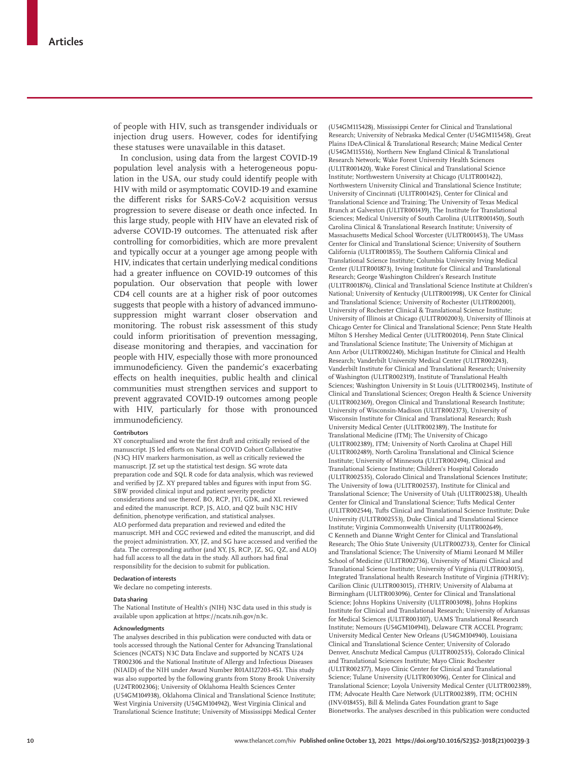of people with HIV, such as transgender individuals or injection drug users. However, codes for identifying these statuses were unavailable in this dataset.

In conclusion, using data from the largest COVID-19 population level analysis with a heterogeneous population in the USA, our study could identify people with HIV with mild or asymptomatic COVID-19 and examine the different risks for SARS-CoV-2 acquisition versus progression to severe disease or death once infected. In this large study, people with HIV have an elevated risk of adverse COVID-19 outcomes. The attenuated risk after controlling for comorbidities, which are more prevalent and typically occur at a younger age among people with HIV, indicates that certain underlying medical conditions had a greater influence on COVID-19 outcomes of this population. Our observation that people with lower CD4 cell counts are at a higher risk of poor outcomes suggests that people with a history of advanced immunosuppression might warrant closer observation and monitoring. The robust risk assessment of this study could inform prioritisation of prevention messaging, disease monitoring and therapies, and vaccination for people with HIV, especially those with more pronounced immunodeficiency. Given the pandemic's exacerbating effects on health inequities, public health and clinical communities must strengthen services and support to prevent aggravated COVID-19 outcomes among people with HIV, particularly for those with pronounced immunodeficiency.

#### **Contributors**

XY conceptualised and wrote the first draft and critically revised of the manuscript. JS led efforts on National COVID Cohort Collaborative (N3C) HIV markers harmonisation, as well as critically reviewed the manuscript. JZ set up the statistical test design. SG wrote data preparation code and SQL R code for data analysis, which was reviewed and verified by JZ. XY prepared tables and figures with input from SG. SBW provided clinical input and patient severity predictor considerations and use thereof. BO, RCP, JYI, GDK, and XL reviewed and edited the manuscript. RCP, JS, ALO, and QZ built N3C HIV definition, phenotype verification, and statistical analyses. ALO performed data preparation and reviewed and edited the manuscript. MH and CGC reviewed and edited the manuscript, and did the project administration. XY, JZ, and SG have accessed and verified the data. The corresponding author (and XY, JS, RCP, JZ, SG, QZ, and ALO) had full access to all the data in the study. All authors had final responsibility for the decision to submit for publication.

## **Declaration of interests**

We declare no competing interests.

#### available upon application at https://ncats.nih.gov/n3c.

**Data sharing**

#### **Acknowledgments**

The analyses described in this publication were conducted with data or tools accessed through the National Center for Advancing Translational Sciences (NCATS) N3C Data Enclave and supported by NCATS U24 TR002306 and the National Institute of Allergy and Infectious Diseases (NIAID) of the NIH under Award Number R01AI127203-4S1. This study was also supported by the following grants from Stony Brook University (U24TR002306); University of Oklahoma Health Sciences Center (U54GM104938), Oklahoma Clinical and Translational Science Institute; West Virginia University (U54GM104942), West Virginia Clinical and Translational Science Institute; University of Mississippi Medical Center

The National Institute of Health's (NIH) N3C data used in this study is

(U54GM115428), Mississippi Center for Clinical and Translational Research; University of Nebraska Medical Center (U54GM115458), Great Plains IDeA-Clinical & Translational Research; Maine Medical Center (U54GM115516), Northern New England Clinical & Translational Research Network; Wake Forest University Health Sciences (UL1TR001420), Wake Forest Clinical and Translational Science Institute; Northwestern University at Chicago (UL1TR001422), Northwestern University Clinical and Translational Science Institute; University of Cincinnati (UL1TR001425), Center for Clinical and Translational Science and Training; The University of Texas Medical Branch at Galveston (UL1TR001439), The Institute for Translational Sciences; Medical University of South Carolina (UL1TR001450), South Carolina Clinical & Translational Research Institute; University of Massachusetts Medical School Worcester (UL1TR001453), The UMass Center for Clinical and Translational Science; University of Southern California (UL1TR001855), The Southern California Clinical and Translational Science Institute; Columbia University Irving Medical Center (UL1TR001873), Irving Institute for Clinical and Translational Research; George Washington Children's Research Institute (UL1TR001876), Clinical and Translational Science Institute at Children's National; University of Kentucky (UL1TR001998), UK Center for Clinical and Translational Science; University of Rochester (UL1TR002001), University of Rochester Clinical & Translational Science Institute; University of Illinois at Chicago (UL1TR002003), University of Illinois at Chicago Center for Clinical and Translational Science; Penn State Health Milton S Hershey Medical Center (UL1TR002014), Penn State Clinical and Translational Science Institute; The University of Michigan at Ann Arbor (UL1TR002240), Michigan Institute for Clinical and Health Research; Vanderbilt University Medical Center (UL1TR002243), Vanderbilt Institute for Clinical and Translational Research; University of Washington (UL1TR002319), Institute of Translational Health Sciences; Washington University in St Louis (UL1TR002345), Institute of Clinical and Translational Sciences; Oregon Health & Science University (UL1TR002369), Oregon Clinical and Translational Research Institute; University of Wisconsin-Madison (UL1TR002373), University of Wisconsin Institute for Clinical and Translational Research; Rush University Medical Center (UL1TR002389), The Institute for Translational Medicine (ITM); The University of Chicago (UL1TR002389), ITM; University of North Carolina at Chapel Hill (UL1TR002489), North Carolina Translational and Clinical Science Institute; University of Minnesota (UL1TR002494), Clinical and Translational Science Institute; Children's Hospital Colorado (UL1TR002535), Colorado Clinical and Translational Sciences Institute; The University of Iowa (UL1TR002537), Institute for Clinical and Translational Science; The University of Utah (UL1TR002538), Uhealth Center for Clinical and Translational Science; Tufts Medical Center (UL1TR002544), Tufts Clinical and Translational Science Institute; Duke University (UL1TR002553), Duke Clinical and Translational Science Institute; Virginia Commonwealth University (UL1TR002649), C Kenneth and Dianne Wright Center for Clinical and Translational Research; The Ohio State University (UL1TR002733), Center for Clinical and Translational Science; The University of Miami Leonard M Miller School of Medicine (UL1TR002736), University of Miami Clinical and Translational Science Institute; University of Virginia (UL1TR003015), Integrated Translational health Research Institute of Virginia (iTHRIV); Carilion Clinic (UL1TR003015), iTHRIV; University of Alabama at Birmingham (UL1TR003096), Center for Clinical and Translational Science; Johns Hopkins University (UL1TR003098), Johns Hopkins Institute for Clinical and Translational Research; University of Arkansas for Medical Sciences (UL1TR003107), UAMS Translational Research Institute; Nemours (U54GM104941), Delaware CTR ACCEL Program; University Medical Center New Orleans (U54GM104940), Louisiana Clinical and Translational Science Center; University of Colorado Denver, Anschutz Medical Campus (UL1TR002535), Colorado Clinical and Translational Sciences Institute; Mayo Clinic Rochester (UL1TR002377), Mayo Clinic Center for Clinical and Translational Science; Tulane University (UL1TR003096), Center for Clinical and Translational Science; Loyola University Medical Center (UL1TR002389), ITM; Advocate Health Care Network (UL1TR002389), ITM; OCHIN (INV-018455), Bill & Melinda Gates Foundation grant to Sage Bionetworks. The analyses described in this publication were conducted